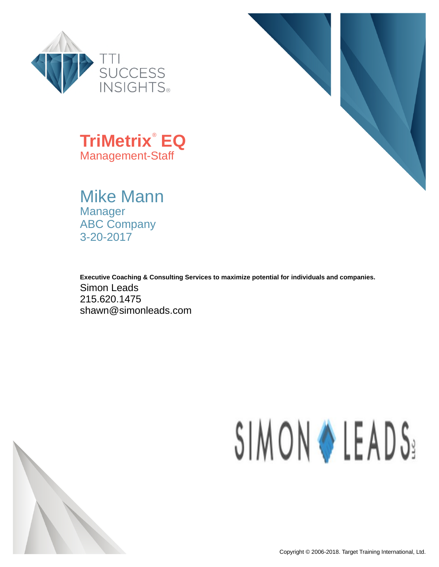



**TriMetrix**® **EQ** Management-Staff

Mike Mann Manager ABC Company 3-20-2017

**Executive Coaching & Consulting Services to maximize potential for individuals and companies.** Simon Leads 215.620.1475 shawn@simonleads.com

# SIMON & LEADS:

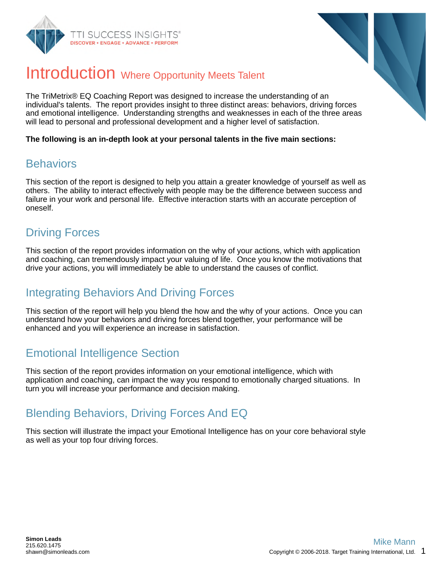



## Introduction Where Opportunity Meets Talent

The TriMetrix® EQ Coaching Report was designed to increase the understanding of an individual's talents. The report provides insight to three distinct areas: behaviors, driving forces and emotional intelligence. Understanding strengths and weaknesses in each of the three areas will lead to personal and professional development and a higher level of satisfaction.

**The following is an in-depth look at your personal talents in the five main sections:**

#### **Behaviors**

This section of the report is designed to help you attain a greater knowledge of yourself as well as others. The ability to interact effectively with people may be the difference between success and failure in your work and personal life. Effective interaction starts with an accurate perception of oneself.

## Driving Forces

This section of the report provides information on the why of your actions, which with application and coaching, can tremendously impact your valuing of life. Once you know the motivations that drive your actions, you will immediately be able to understand the causes of conflict.

## Integrating Behaviors And Driving Forces

This section of the report will help you blend the how and the why of your actions. Once you can understand how your behaviors and driving forces blend together, your performance will be enhanced and you will experience an increase in satisfaction.

## Emotional Intelligence Section

This section of the report provides information on your emotional intelligence, which with application and coaching, can impact the way you respond to emotionally charged situations. In turn you will increase your performance and decision making.

## Blending Behaviors, Driving Forces And EQ

This section will illustrate the impact your Emotional Intelligence has on your core behavioral style as well as your top four driving forces.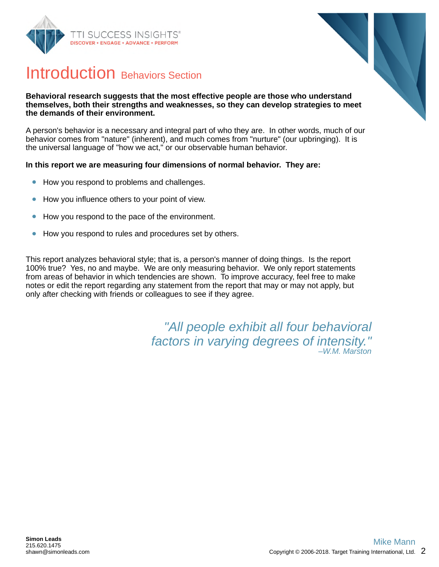



## Introduction Behaviors Section

#### **Behavioral research suggests that the most effective people are those who understand themselves, both their strengths and weaknesses, so they can develop strategies to meet the demands of their environment.**

A person's behavior is a necessary and integral part of who they are. In other words, much of our behavior comes from "nature" (inherent), and much comes from "nurture" (our upbringing). It is the universal language of "how we act," or our observable human behavior.

#### **In this report we are measuring four dimensions of normal behavior. They are:**

- How you respond to problems and challenges.  $\bullet$
- How you influence others to your point of view.  $\bullet$
- How you respond to the pace of the environment.  $\bullet$
- How you respond to rules and procedures set by others.  $\bullet$

This report analyzes behavioral style; that is, a person's manner of doing things. Is the report 100% true? Yes, no and maybe. We are only measuring behavior. We only report statements from areas of behavior in which tendencies are shown. To improve accuracy, feel free to make notes or edit the report regarding any statement from the report that may or may not apply, but only after checking with friends or colleagues to see if they agree.

> *"All people exhibit all four behavioral factors in varying degrees of intensity." –W.M. Marston*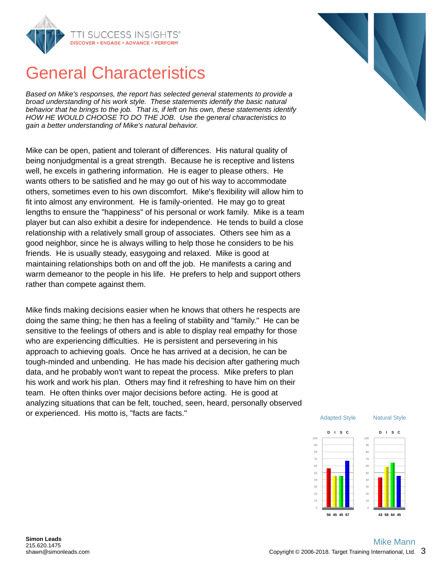

## General Characteristics

*Based on Mike's responses, the report has selected general statements to provide a broad understanding of his work style. These statements identify the basic natural behavior that he brings to the job. That is, if left on his own, these statements identify HOW HE WOULD CHOOSE TO DO THE JOB. Use the general characteristics to gain a better understanding of Mike's natural behavior.*

Mike can be open, patient and tolerant of differences. His natural quality of being nonjudgmental is a great strength. Because he is receptive and listens well, he excels in gathering information. He is eager to please others. He wants others to be satisfied and he may go out of his way to accommodate others, sometimes even to his own discomfort. Mike's flexibility will allow him to fit into almost any environment. He is family-oriented. He may go to great lengths to ensure the "happiness" of his personal or work family. Mike is a team player but can also exhibit a desire for independence. He tends to build a close relationship with a relatively small group of associates. Others see him as a good neighbor, since he is always willing to help those he considers to be his friends. He is usually steady, easygoing and relaxed. Mike is good at maintaining relationships both on and off the job. He manifests a caring and warm demeanor to the people in his life. He prefers to help and support others rather than compete against them.

Mike finds making decisions easier when he knows that others he respects are doing the same thing; he then has a feeling of stability and "family." He can be sensitive to the feelings of others and is able to display real empathy for those who are experiencing difficulties. He is persistent and persevering in his approach to achieving goals. Once he has arrived at a decision, he can be tough-minded and unbending. He has made his decision after gathering much data, and he probably won't want to repeat the process. Mike prefers to plan his work and work his plan. Others may find it refreshing to have him on their team. He often thinks over major decisions before acting. He is good at analyzing situations that can be felt, touched, seen, heard, personally observed or experienced. His motto is, "facts are facts."



#### **Simon Leads** 215.620.1475 shawn@simonleads.com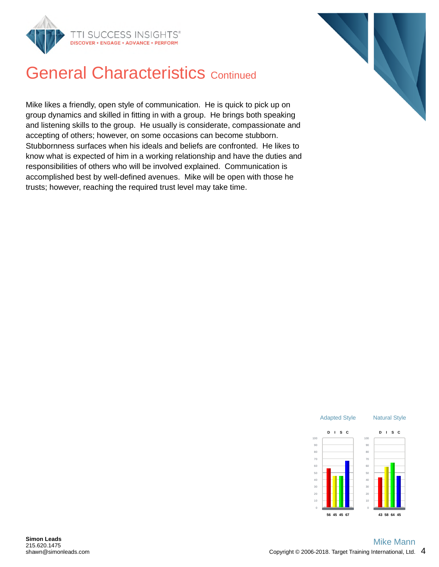



## **General Characteristics Continued**

Mike likes a friendly, open style of communication. He is quick to pick up on group dynamics and skilled in fitting in with a group. He brings both speaking and listening skills to the group. He usually is considerate, compassionate and accepting of others; however, on some occasions can become stubborn. Stubbornness surfaces when his ideals and beliefs are confronted. He likes to know what is expected of him in a working relationship and have the duties and responsibilities of others who will be involved explained. Communication is accomplished best by well-defined avenues. Mike will be open with those he trusts; however, reaching the required trust level may take time.

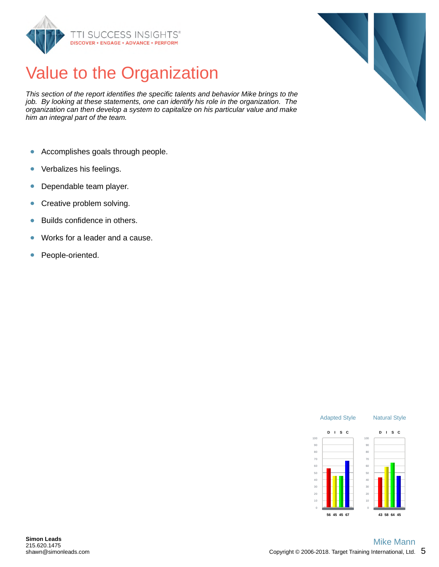

## Value to the Organization

*This section of the report identifies the specific talents and behavior Mike brings to the job. By looking at these statements, one can identify his role in the organization. The organization can then develop a system to capitalize on his particular value and make him an integral part of the team.*

- Accomplishes goals through people.  $\bullet$
- Verbalizes his feelings.  $\bullet$
- Dependable team player.  $\bullet$
- Creative problem solving.  $\bullet$
- Builds confidence in others.  $\bullet$
- Works for a leader and a cause.  $\bullet$
- $\bullet$ People-oriented.



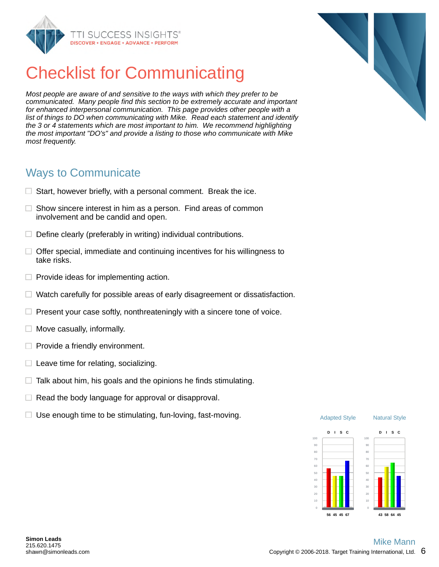

## Checklist for Communicating

*Most people are aware of and sensitive to the ways with which they prefer to be communicated. Many people find this section to be extremely accurate and important for enhanced interpersonal communication. This page provides other people with a list of things to DO when communicating with Mike. Read each statement and identify the 3 or 4 statements which are most important to him. We recommend highlighting the most important "DO's" and provide a listing to those who communicate with Mike most frequently.*

#### Ways to Communicate

- $\Box$  Start, however briefly, with a personal comment. Break the ice.
- $\Box$  Show sincere interest in him as a person. Find areas of common involvement and be candid and open.
- $\Box$  Define clearly (preferably in writing) individual contributions.
- $\Box$  Offer special, immediate and continuing incentives for his willingness to take risks.
- $\Box$  Provide ideas for implementing action.
- $\Box$  Watch carefully for possible areas of early disagreement or dissatisfaction.
- $\Box$  Present your case softly, nonthreateningly with a sincere tone of voice.
- $\Box$  Move casually, informally.
- $\Box$  Provide a friendly environment.
- $\Box$  Leave time for relating, socializing.
- $\Box$  Talk about him, his goals and the opinions he finds stimulating.
- $\Box$  Read the body language for approval or disapproval.
- $\Box$  Use enough time to be stimulating, fun-loving, fast-moving.  $\Box$  Discommon adapted Style

**56 45 45 67**





10 0

**43 58 64 45**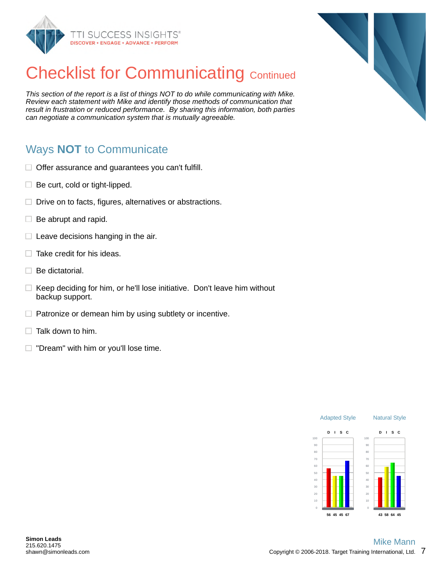



*This section of the report is a list of things NOT to do while communicating with Mike. Review each statement with Mike and identify those methods of communication that result in frustration or reduced performance. By sharing this information, both parties can negotiate a communication system that is mutually agreeable.*

## Ways **NOT** to Communicate

- $\Box$  Offer assurance and guarantees you can't fulfill.
- $\Box$  Be curt, cold or tight-lipped.
- $\Box$  Drive on to facts, figures, alternatives or abstractions.
- $\Box$  Be abrupt and rapid.
- $\Box$  Leave decisions hanging in the air.
- $\Box$  Take credit for his ideas.
- $\Box$  Be dictatorial.
- $\Box$  Keep deciding for him, or he'll lose initiative. Don't leave him without backup support.
- $\Box$  Patronize or demean him by using subtlety or incentive.
- Talk down to him.  $\Box$
- $\Box$  "Dream" with him or you'll lose time.



0

**43 58 64 45**

**56 45 45 67**

0

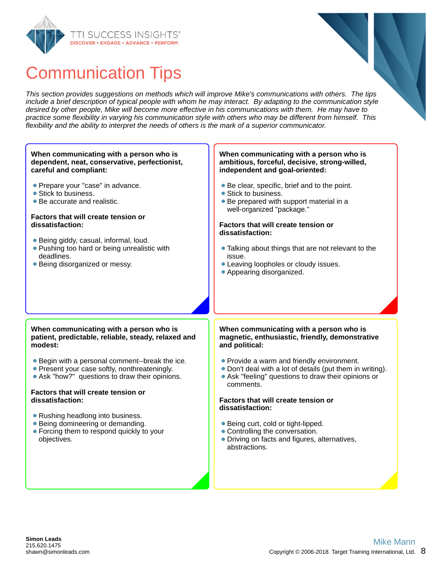



## Communication Tips

*This section provides suggestions on methods which will improve Mike's communications with others. The tips include a brief description of typical people with whom he may interact. By adapting to the communication style desired by other people, Mike will become more effective in his communications with them. He may have to practice some flexibility in varying his communication style with others who may be different from himself. This flexibility and the ability to interpret the needs of others is the mark of a superior communicator.*

#### **When communicating with a person who is dependent, neat, conservative, perfectionist, careful and compliant:**

- **Prepare your "case" in advance.**
- Stick to business.
- Be accurate and realistic.

#### **Factors that will create tension or dissatisfaction:**

- Being giddy, casual, informal, loud.
- Pushing too hard or being unrealistic with deadlines.
- **Being disorganized or messy.**

#### **When communicating with a person who is ambitious, forceful, decisive, strong-willed, independent and goal-oriented:**

- Be clear, specific, brief and to the point.
- Stick to business.
- Be prepared with support material in a well-organized "package."

#### **Factors that will create tension or dissatisfaction:**

- Talking about things that are not relevant to the issue.
- Leaving loopholes or cloudy issues.
- Appearing disorganized.

#### **When communicating with a person who is patient, predictable, reliable, steady, relaxed and modest:**

- Begin with a personal comment--break the ice.
- Present your case softly, nonthreateningly.
- Ask "how?" questions to draw their opinions.

#### **Factors that will create tension or dissatisfaction:**

- Rushing headlong into business.
- Being domineering or demanding.
- Forcing them to respond quickly to your objectives.

#### **When communicating with a person who is magnetic, enthusiastic, friendly, demonstrative and political:**

- Provide a warm and friendly environment.
- Don't deal with a lot of details (put them in writing).
- Ask "feeling" questions to draw their opinions or comments.

#### **Factors that will create tension or dissatisfaction:**

- Being curt, cold or tight-lipped.
- Controlling the conversation.
- Driving on facts and figures, alternatives, abstractions.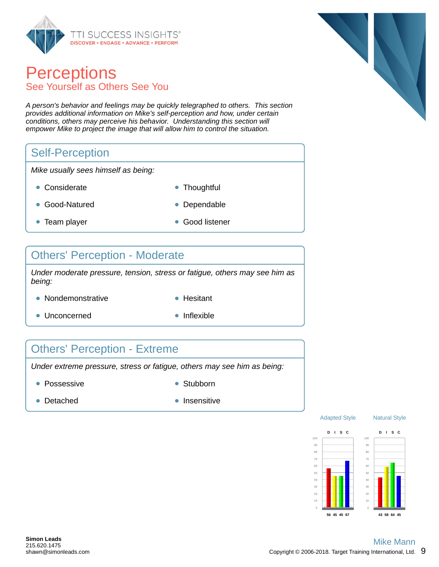

## **Perceptions** See Yourself as Others See You

*A person's behavior and feelings may be quickly telegraphed to others. This section provides additional information on Mike's self-perception and how, under certain conditions, others may perceive his behavior. Understanding this section will empower Mike to project the image that will allow him to control the situation.*

#### Self-Perception

*Mike usually sees himself as being:*

- Considerate **Thoughtful**
- 
- Good-Natured **Dependable**
- Team player Good listener
- 

#### Others' Perception - Moderate

*Under moderate pressure, tension, stress or fatigue, others may see him as being:*

- Nondemonstrative **Hesitant** 
	-
- Unconcerned **Inflexible**
- 

## Others' Perception - Extreme

*Under extreme pressure, stress or fatigue, others may see him as being:*

- Possessive **Stubborn** Stubborn
	-

- 
- Detached **Insensitive**



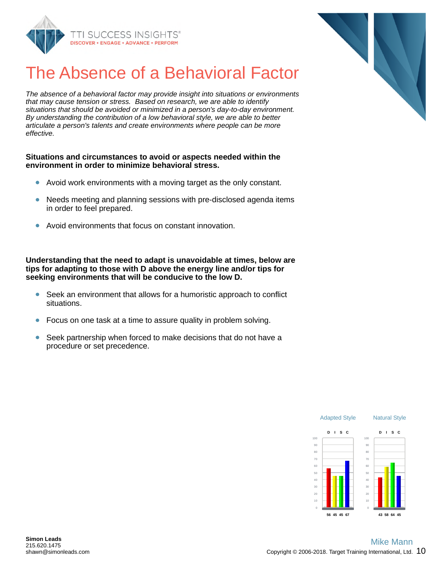

## The Absence of a Behavioral Factor

*The absence of a behavioral factor may provide insight into situations or environments that may cause tension or stress. Based on research, we are able to identify situations that should be avoided or minimized in a person's day-to-day environment. By understanding the contribution of a low behavioral style, we are able to better articulate a person's talents and create environments where people can be more effective.*

#### **Situations and circumstances to avoid or aspects needed within the environment in order to minimize behavioral stress.**

- $\bullet$ Avoid work environments with a moving target as the only constant.
- Needs meeting and planning sessions with pre-disclosed agenda items in order to feel prepared.
- Avoid environments that focus on constant innovation.

**Understanding that the need to adapt is unavoidable at times, below are tips for adapting to those with D above the energy line and/or tips for seeking environments that will be conducive to the low D.**

- $\bullet$ Seek an environment that allows for a humoristic approach to conflict situations.
- Focus on one task at a time to assure quality in problem solving.
- Seek partnership when forced to make decisions that do not have a procedure or set precedence.



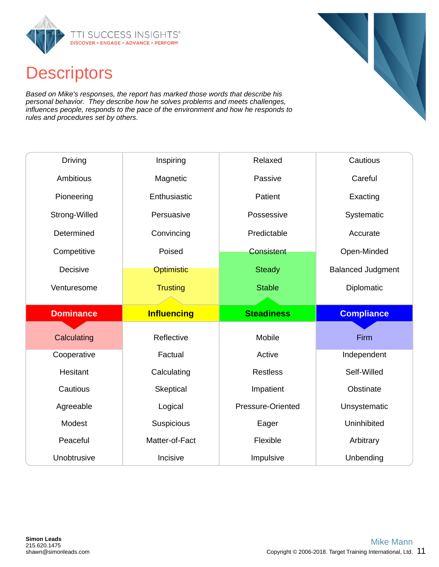

## **Descriptors**

*Based on Mike's responses, the report has marked those words that describe his personal behavior. They describe how he solves problems and meets challenges, influences people, responds to the pace of the environment and how he responds to rules and procedures set by others.*

| Driving          | Inspiring          | Relaxed           | Cautious                 |
|------------------|--------------------|-------------------|--------------------------|
| Ambitious        | Magnetic           | Passive           | Careful                  |
| Pioneering       | Enthusiastic       | Patient           | Exacting                 |
| Strong-Willed    | Persuasive         | Possessive        | Systematic               |
| Determined       | Convincing         | Predictable       | Accurate                 |
| Competitive      | Poised             | <b>Consistent</b> | Open-Minded              |
| Decisive         | <b>Optimistic</b>  | <b>Steady</b>     | <b>Balanced Judgment</b> |
| Venturesome      | <b>Trusting</b>    | <b>Stable</b>     | Diplomatic               |
|                  |                    |                   |                          |
|                  |                    |                   |                          |
| <b>Dominance</b> | <b>Influencing</b> | <b>Steadiness</b> | <b>Compliance</b>        |
|                  |                    |                   |                          |
| Calculating      | Reflective         | Mobile            | Firm                     |
| Cooperative      | Factual            | Active            | Independent              |
| Hesitant         | Calculating        | <b>Restless</b>   | Self-Willed              |
| Cautious         | Skeptical          | Impatient         | Obstinate                |
| Agreeable        | Logical            | Pressure-Oriented | Unsystematic             |
| Modest           | Suspicious         | Eager             | Uninhibited              |
| Peaceful         | Matter-of-Fact     | Flexible          | Arbitrary                |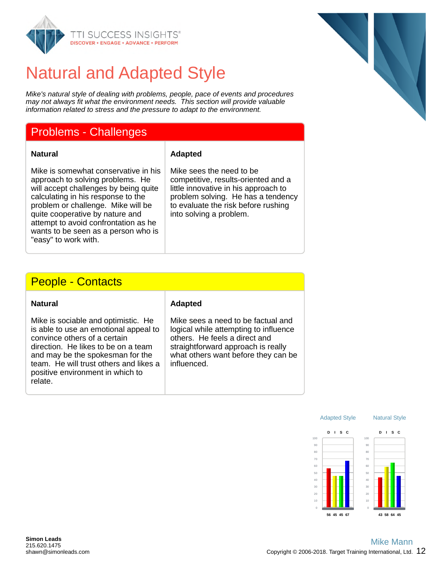

## Natural and Adapted Style

*Mike's natural style of dealing with problems, people, pace of events and procedures may not always fit what the environment needs. This section will provide valuable information related to stress and the pressure to adapt to the environment.*

#### Problems - Challenges

#### **Natural Adapted**

Mike is somewhat conservative in his approach to solving problems. He will accept challenges by being quite calculating in his response to the problem or challenge. Mike will be quite cooperative by nature and attempt to avoid confrontation as he wants to be seen as a person who is "easy" to work with.

Mike sees the need to be competitive, results-oriented and a little innovative in his approach to problem solving. He has a tendency to evaluate the risk before rushing into solving a problem.

#### People - Contacts

| Natural |
|---------|
|---------|

Mike is sociable and optimistic. He is able to use an emotional appeal to convince others of a certain direction. He likes to be on a team and may be the spokesman for the team. He will trust others and likes a positive environment in which to relate.

#### **Adapted**

Mike sees a need to be factual and logical while attempting to influence others. He feels a direct and straightforward approach is really what others want before they can be influenced.



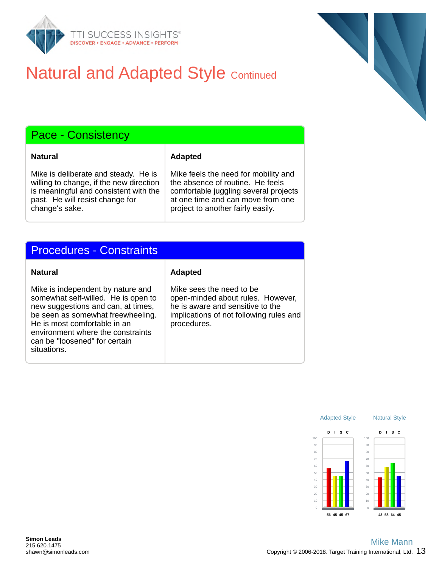

## **Natural and Adapted Style Continued**

## Pace - Consistency

#### **Natural Adapted**

Mike is deliberate and steady. He is willing to change, if the new direction is meaningful and consistent with the past. He will resist change for change's sake.

Mike feels the need for mobility and the absence of routine. He feels comfortable juggling several projects at one time and can move from one project to another fairly easily.

### Procedures - Constraints

Mike is independent by nature and somewhat self-willed. He is open to new suggestions and can, at times, be seen as somewhat freewheeling. He is most comfortable in an environment where the constraints can be "loosened" for certain situations.

#### **Natural Adapted**

Mike sees the need to be open-minded about rules. However, he is aware and sensitive to the implications of not following rules and procedures.

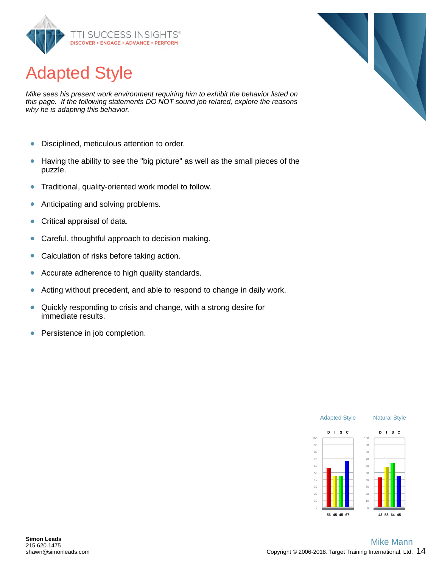

## Adapted Style

*Mike sees his present work environment requiring him to exhibit the behavior listed on this page. If the following statements DO NOT sound job related, explore the reasons why he is adapting this behavior.*

- $\bullet$ Disciplined, meticulous attention to order.
- Having the ability to see the "big picture" as well as the small pieces of the  $\bullet$ puzzle.
- Traditional, quality-oriented work model to follow.  $\bullet$
- $\bullet$ Anticipating and solving problems.
- Critical appraisal of data.  $\bullet$
- Careful, thoughtful approach to decision making.  $\bullet$
- Calculation of risks before taking action.  $\bullet$
- Accurate adherence to high quality standards.  $\bullet$
- Acting without precedent, and able to respond to change in daily work.  $\bullet$
- $\bullet$ Quickly responding to crisis and change, with a strong desire for immediate results.
- $\bullet$ Persistence in job completion.



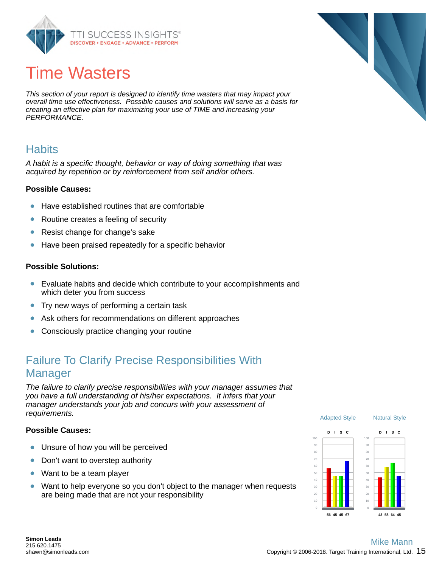

## Time Wasters

*This section of your report is designed to identify time wasters that may impact your overall time use effectiveness. Possible causes and solutions will serve as a basis for creating an effective plan for maximizing your use of TIME and increasing your PERFORMANCE.*

#### **Habits**

*A habit is a specific thought, behavior or way of doing something that was acquired by repetition or by reinforcement from self and/or others.*

#### **Possible Causes:**

- Have established routines that are comfortable
- $\bullet$ Routine creates a feeling of security
- Resist change for change's sake  $\bullet$
- Have been praised repeatedly for a specific behavior  $\bullet$

#### **Possible Solutions:**

- Evaluate habits and decide which contribute to your accomplishments and which deter you from success
- Try new ways of performing a certain task  $\bullet$
- Ask others for recommendations on different approaches  $\bullet$
- Consciously practice changing your routine  $\bullet$

## Failure To Clarify Precise Responsibilities With Manager

*The failure to clarify precise responsibilities with your manager assumes that you have a full understanding of his/her expectations. It infers that your manager understands your job and concurs with your assessment of requirements.*

#### **Possible Causes:**

- $\bullet$ Unsure of how you will be perceived
- $\bullet$ Don't want to overstep authority
- Want to be a team player  $\bullet$
- Want to help everyone so you don't object to the manager when requests  $\bullet$ are being made that are not your responsibility



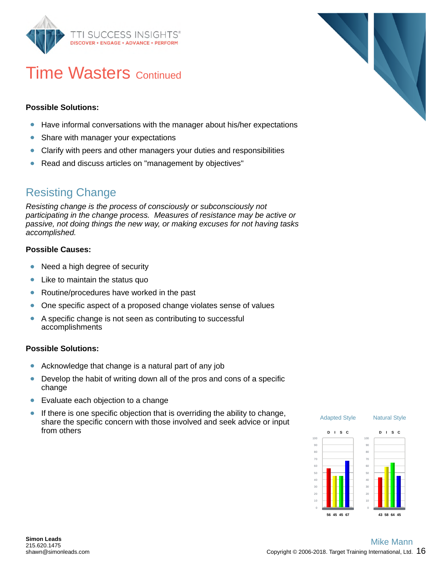

## **Time Wasters Continued**

#### **Possible Solutions:**

- Have informal conversations with the manager about his/her expectations
- Share with manager your expectations  $\bullet$
- Clarify with peers and other managers your duties and responsibilities  $\bullet$
- Read and discuss articles on "management by objectives"  $\bullet$

#### Resisting Change

*Resisting change is the process of consciously or subconsciously not participating in the change process. Measures of resistance may be active or passive, not doing things the new way, or making excuses for not having tasks accomplished.*

#### **Possible Causes:**

- $\bullet$ Need a high degree of security
- Like to maintain the status quo  $\bullet$
- $\bullet$ Routine/procedures have worked in the past
- One specific aspect of a proposed change violates sense of values  $\bullet$
- A specific change is not seen as contributing to successful  $\bullet$ accomplishments

#### **Possible Solutions:**

- Acknowledge that change is a natural part of any job  $\bullet$
- Develop the habit of writing down all of the pros and cons of a specific  $\bullet$ change
- Evaluate each objection to a change  $\bullet$
- If there is one specific objection that is overriding the ability to change,  $\bullet$ share the specific concern with those involved and seek advice or input from others



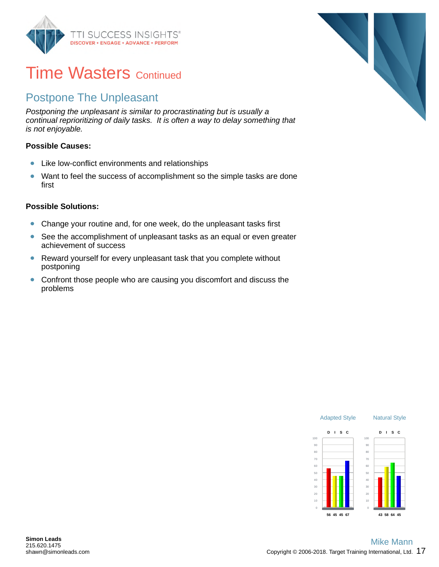

## **Time Wasters Continued**

## Postpone The Unpleasant

*Postponing the unpleasant is similar to procrastinating but is usually a continual reprioritizing of daily tasks. It is often a way to delay something that is not enjoyable.*

#### **Possible Causes:**

- Like low-conflict environments and relationships  $\bullet$
- $\bullet$ Want to feel the success of accomplishment so the simple tasks are done first

#### **Possible Solutions:**

- $\bullet$ Change your routine and, for one week, do the unpleasant tasks first
- $\bullet$ See the accomplishment of unpleasant tasks as an equal or even greater achievement of success
- Reward yourself for every unpleasant task that you complete without postponing
- Confront those people who are causing you discomfort and discuss the  $\bullet$ problems



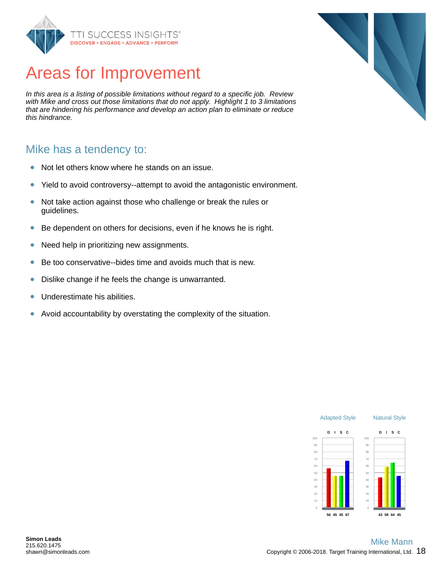

## Areas for Improvement

*In this area is a listing of possible limitations without regard to a specific job. Review with Mike and cross out those limitations that do not apply. Highlight 1 to 3 limitations that are hindering his performance and develop an action plan to eliminate or reduce this hindrance.*

#### Mike has a tendency to:

- Not let others know where he stands on an issue.  $\bullet$
- Yield to avoid controversy--attempt to avoid the antagonistic environment.  $\bullet$
- Not take action against those who challenge or break the rules or  $\bullet$ guidelines.
- $\bullet$ Be dependent on others for decisions, even if he knows he is right.
- Need help in prioritizing new assignments.  $\bullet$
- Be too conservative--bides time and avoids much that is new.  $\bullet$
- Dislike change if he feels the change is unwarranted.  $\bullet$
- Underestimate his abilities.  $\bullet$
- $\bullet$ Avoid accountability by overstating the complexity of the situation.



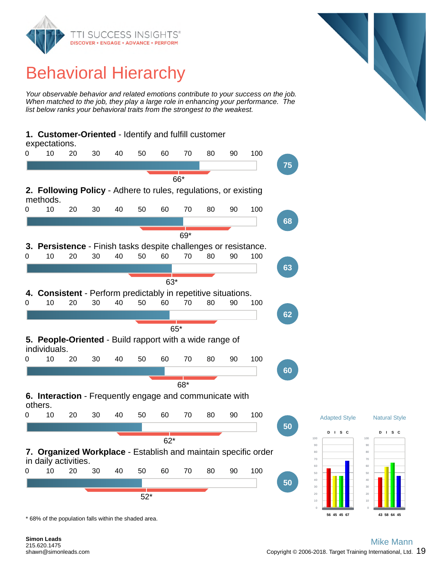

## Behavioral Hierarchy

*Your observable behavior and related emotions contribute to your success on the job. When matched to the job, they play a large role in enhancing your performance. The list below ranks your behavioral traits from the strongest to the weakest.*



\* 68% of the population falls within the shaded area.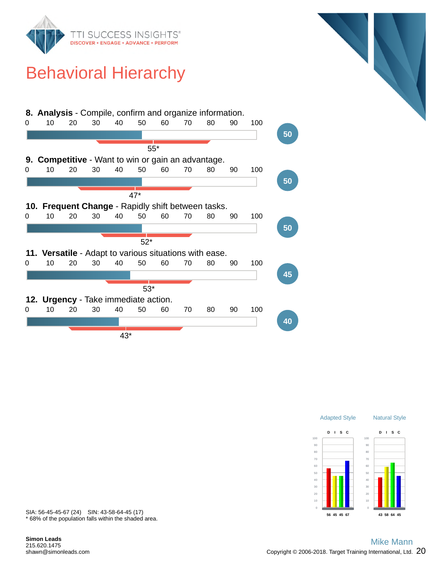

## Behavioral Hierarchy







\* 68% of the population falls within the shaded area. SIA: 56-45-45-67 (24) SIN: 43-58-64-45 (17)

**Simon Leads** 215.620.1475 shawn@simonleads.com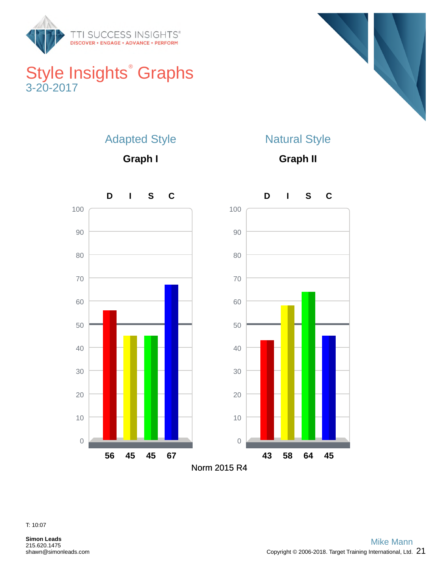

## Style Insights ® Graphs 3-20-2017



## Adapted Style

**Graph I**

## Natural Style

**Graph II**



T: 10:07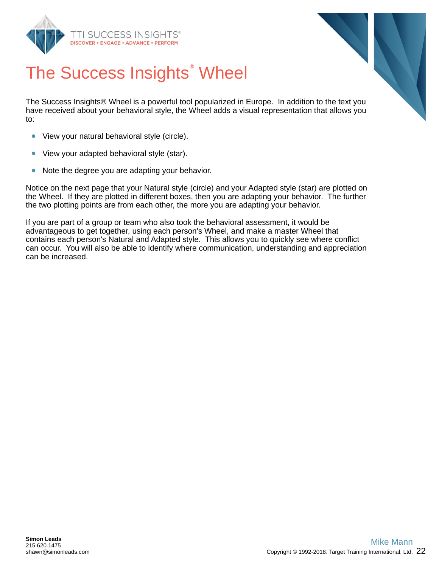



## The Success Insights ® Wheel

The Success Insights® Wheel is a powerful tool popularized in Europe. In addition to the text you have received about your behavioral style, the Wheel adds a visual representation that allows you to:

- View your natural behavioral style (circle).  $\bullet$
- $\bullet$ View your adapted behavioral style (star).
- Note the degree you are adapting your behavior.  $\bullet$

Notice on the next page that your Natural style (circle) and your Adapted style (star) are plotted on the Wheel. If they are plotted in different boxes, then you are adapting your behavior. The further the two plotting points are from each other, the more you are adapting your behavior.

If you are part of a group or team who also took the behavioral assessment, it would be advantageous to get together, using each person's Wheel, and make a master Wheel that contains each person's Natural and Adapted style. This allows you to quickly see where conflict can occur. You will also be able to identify where communication, understanding and appreciation can be increased.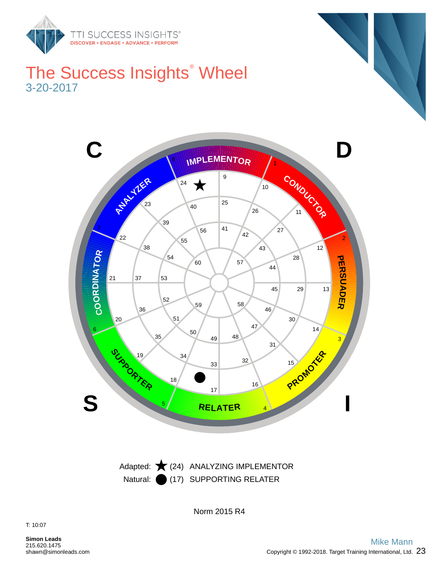

## The Success Insights ® Wheel 3-20-2017



Natural: (17) SUPPORTING RELATER Adapted:  $\bigstar$  (24) ANALYZING IMPLEMENTOR

Norm 2015 R4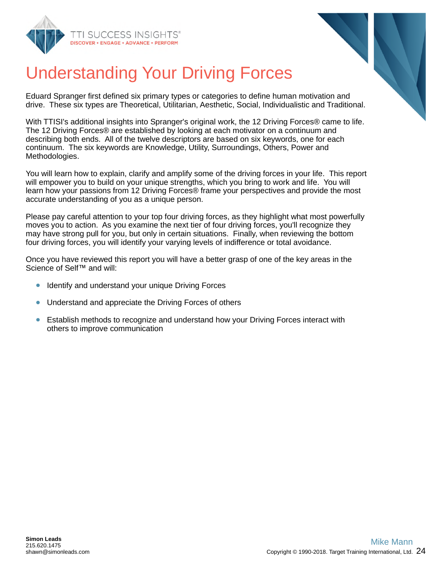



## Understanding Your Driving Forces

Eduard Spranger first defined six primary types or categories to define human motivation and drive. These six types are Theoretical, Utilitarian, Aesthetic, Social, Individualistic and Traditional.

With TTISI's additional insights into Spranger's original work, the 12 Driving Forces® came to life. The 12 Driving Forces® are established by looking at each motivator on a continuum and describing both ends. All of the twelve descriptors are based on six keywords, one for each continuum. The six keywords are Knowledge, Utility, Surroundings, Others, Power and Methodologies.

You will learn how to explain, clarify and amplify some of the driving forces in your life. This report will empower you to build on your unique strengths, which you bring to work and life. You will learn how your passions from 12 Driving Forces® frame your perspectives and provide the most accurate understanding of you as a unique person.

Please pay careful attention to your top four driving forces, as they highlight what most powerfully moves you to action. As you examine the next tier of four driving forces, you'll recognize they may have strong pull for you, but only in certain situations. Finally, when reviewing the bottom four driving forces, you will identify your varying levels of indifference or total avoidance.

Once you have reviewed this report you will have a better grasp of one of the key areas in the Science of Self™ and will:

- Identify and understand your unique Driving Forces
- $\bullet$ Understand and appreciate the Driving Forces of others
- Establish methods to recognize and understand how your Driving Forces interact with  $\bullet$ others to improve communication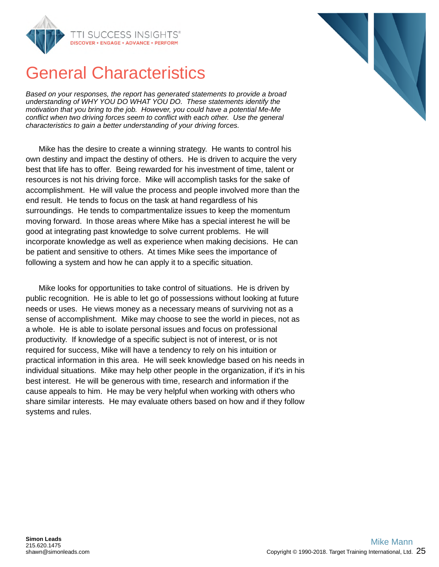

## General Characteristics

*Based on your responses, the report has generated statements to provide a broad understanding of WHY YOU DO WHAT YOU DO. These statements identify the motivation that you bring to the job. However, you could have a potential Me-Me conflict when two driving forces seem to conflict with each other. Use the general characteristics to gain a better understanding of your driving forces.*

Mike has the desire to create a winning strategy. He wants to control his own destiny and impact the destiny of others. He is driven to acquire the very best that life has to offer. Being rewarded for his investment of time, talent or resources is not his driving force. Mike will accomplish tasks for the sake of accomplishment. He will value the process and people involved more than the end result. He tends to focus on the task at hand regardless of his surroundings. He tends to compartmentalize issues to keep the momentum moving forward. In those areas where Mike has a special interest he will be good at integrating past knowledge to solve current problems. He will incorporate knowledge as well as experience when making decisions. He can be patient and sensitive to others. At times Mike sees the importance of following a system and how he can apply it to a specific situation.

Mike looks for opportunities to take control of situations. He is driven by public recognition. He is able to let go of possessions without looking at future needs or uses. He views money as a necessary means of surviving not as a sense of accomplishment. Mike may choose to see the world in pieces, not as a whole. He is able to isolate personal issues and focus on professional productivity. If knowledge of a specific subject is not of interest, or is not required for success, Mike will have a tendency to rely on his intuition or practical information in this area. He will seek knowledge based on his needs in individual situations. Mike may help other people in the organization, if it's in his best interest. He will be generous with time, research and information if the cause appeals to him. He may be very helpful when working with others who share similar interests. He may evaluate others based on how and if they follow systems and rules.

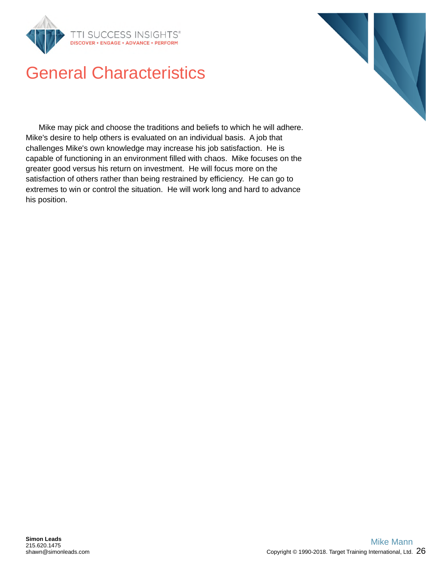

## General Characteristics

Mike may pick and choose the traditions and beliefs to which he will adhere. Mike's desire to help others is evaluated on an individual basis. A job that challenges Mike's own knowledge may increase his job satisfaction. He is capable of functioning in an environment filled with chaos. Mike focuses on the greater good versus his return on investment. He will focus more on the satisfaction of others rather than being restrained by efficiency. He can go to extremes to win or control the situation. He will work long and hard to advance his position.

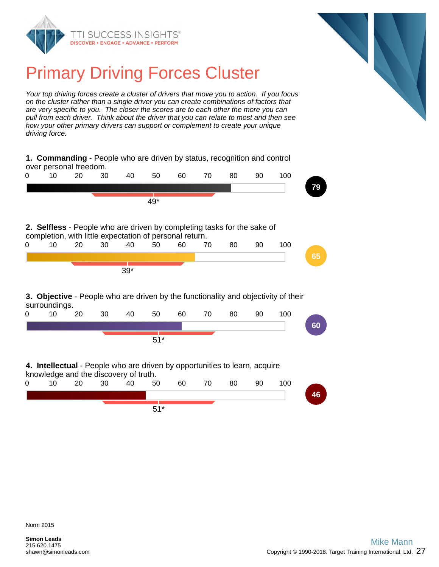



## Primary Driving Forces Cluster

*Your top driving forces create a cluster of drivers that move you to action. If you focus on the cluster rather than a single driver you can create combinations of factors that are very specific to you. The closer the scores are to each other the more you can pull from each driver. Think about the driver that you can relate to most and then see how your other primary drivers can support or complement to create your unique driving force.*

| 1. Commanding - People who are driven by status, recognition and control<br>over personal freedom. |                                                                                                                                    |    |    |       |       |    |    |    |    |     |    |
|----------------------------------------------------------------------------------------------------|------------------------------------------------------------------------------------------------------------------------------------|----|----|-------|-------|----|----|----|----|-----|----|
| Ω                                                                                                  | 10                                                                                                                                 | 20 | 30 | 40    | 50    | 60 | 70 | 80 | 90 | 100 |    |
|                                                                                                    |                                                                                                                                    |    |    |       |       |    |    |    |    |     | 79 |
|                                                                                                    |                                                                                                                                    |    |    |       | 49*   |    |    |    |    |     |    |
|                                                                                                    |                                                                                                                                    |    |    |       |       |    |    |    |    |     |    |
|                                                                                                    | 2. Selfless - People who are driven by completing tasks for the sake of<br>completion, with little expectation of personal return. |    |    |       |       |    |    |    |    |     |    |
| 0                                                                                                  | 10                                                                                                                                 | 20 | 30 | 40    | 50    | 60 | 70 | 80 | 90 | 100 |    |
|                                                                                                    |                                                                                                                                    |    |    |       |       |    |    |    |    |     | 65 |
|                                                                                                    |                                                                                                                                    |    |    | $39*$ |       |    |    |    |    |     |    |
|                                                                                                    | 3. Objective - People who are driven by the functionality and objectivity of their<br>surroundings.                                |    |    |       |       |    |    |    |    |     |    |
| 0                                                                                                  | 10                                                                                                                                 | 20 | 30 | 40    | 50    | 60 | 70 | 80 | 90 | 100 |    |
|                                                                                                    |                                                                                                                                    |    |    |       |       |    |    |    |    |     | 60 |
|                                                                                                    |                                                                                                                                    |    |    |       | $51*$ |    |    |    |    |     |    |
|                                                                                                    |                                                                                                                                    |    |    |       |       |    |    |    |    |     |    |
|                                                                                                    | 4. Intellectual - People who are driven by opportunities to learn, acquire<br>knowledge and the discovery of truth.                |    |    |       |       |    |    |    |    |     |    |
| 0                                                                                                  | 10                                                                                                                                 | 20 | 30 | 40    | 50    | 60 | 70 | 80 | 90 | 100 |    |
|                                                                                                    |                                                                                                                                    |    |    |       |       |    |    |    |    |     | 46 |
|                                                                                                    |                                                                                                                                    |    |    |       | $51*$ |    |    |    |    |     |    |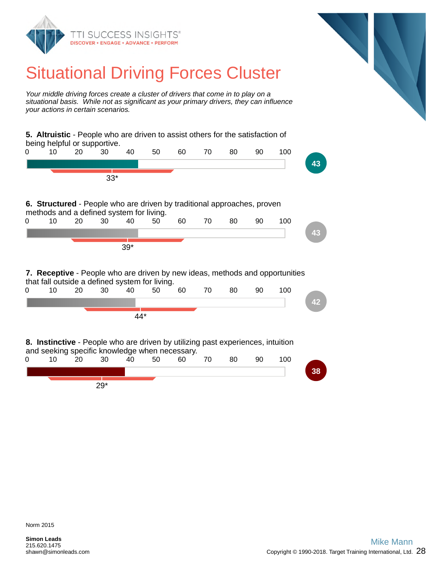

## Situational Driving Forces Cluster

*Your middle driving forces create a cluster of drivers that come in to play on a situational basis. While not as significant as your primary drivers, they can influence your actions in certain scenarios.*

**5. Altruistic** - People who are driven to assist others for the satisfaction of being helpful or supportive. 0 10 20 30 40 50 60 70 80 90 100 **43** 33\* **6. Structured** - People who are driven by traditional approaches, proven methods and a defined system for living. 0 10 20 30 40 50 60 70 80 90 100 **43** 39\* **7. Receptive** - People who are driven by new ideas, methods and opportunities that fall outside a defined system for living. 0 10 20 30 40 50 60 70 80 90 100 **42** 44\* **8. Instinctive** - People who are driven by utilizing past experiences, intuition and seeking specific knowledge when necessary. 0 10 20 30 40 50 60 70 80 90 100 **38** 29\*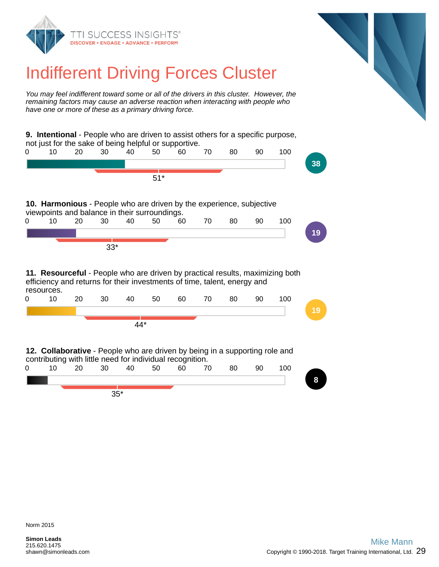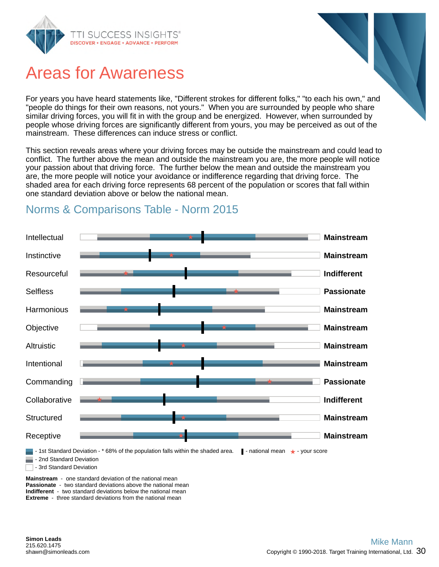

## Areas for Awareness

For years you have heard statements like, "Different strokes for different folks," "to each his own," and "people do things for their own reasons, not yours." When you are surrounded by people who share similar driving forces, you will fit in with the group and be energized. However, when surrounded by people whose driving forces are significantly different from yours, you may be perceived as out of the mainstream. These differences can induce stress or conflict.

This section reveals areas where your driving forces may be outside the mainstream and could lead to conflict. The further above the mean and outside the mainstream you are, the more people will notice your passion about that driving force. The further below the mean and outside the mainstream you are, the more people will notice your avoidance or indifference regarding that driving force. The shaded area for each driving force represents 68 percent of the population or scores that fall within one standard deviation above or below the national mean.



## Norms & Comparisons Table - Norm 2015

**Mainstream** - one standard deviation of the national mean **Passionate** - two standard deviations above the national mean **Indifferent** - two standard deviations below the national mean **Extreme** - three standard deviations from the national mean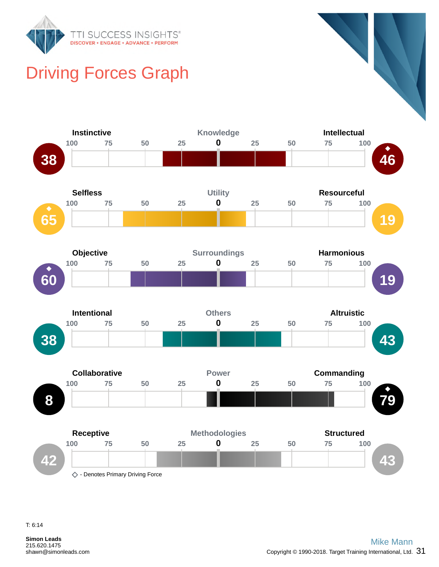

## Driving Forces Graph



T: 6:14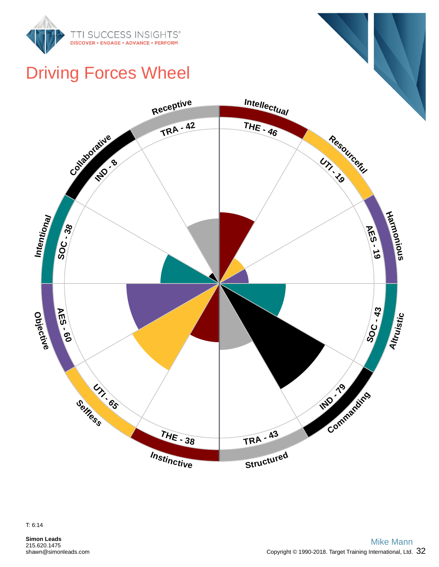

## Driving Forces Wheel

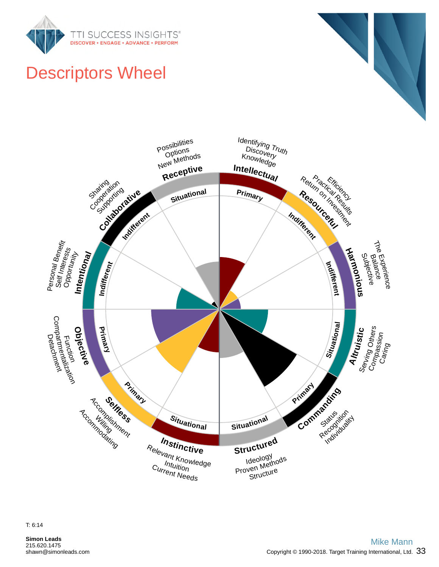



## Descriptors Wheel

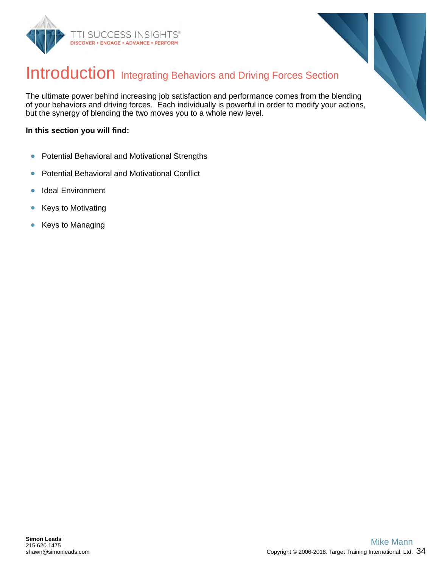



## Introduction Integrating Behaviors and Driving Forces Section

The ultimate power behind increasing job satisfaction and performance comes from the blending of your behaviors and driving forces. Each individually is powerful in order to modify your actions, but the synergy of blending the two moves you to a whole new level.

#### **In this section you will find:**

- Potential Behavioral and Motivational Strengths  $\bullet$
- Potential Behavioral and Motivational Conflict  $\bullet$
- Ideal Environment  $\bullet$
- Keys to Motivating  $\bullet$
- Keys to Managing  $\bullet$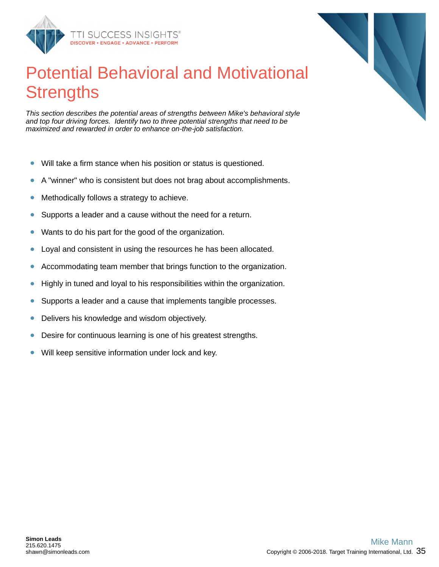

## Potential Behavioral and Motivational **Strengths**

*This section describes the potential areas of strengths between Mike's behavioral style and top four driving forces. Identify two to three potential strengths that need to be maximized and rewarded in order to enhance on-the-job satisfaction.*

- Will take a firm stance when his position or status is questioned.  $\bullet$
- A "winner" who is consistent but does not brag about accomplishments.  $\bullet$
- Methodically follows a strategy to achieve.  $\bullet$
- Supports a leader and a cause without the need for a return.  $\bullet$
- Wants to do his part for the good of the organization.  $\bullet$
- Loyal and consistent in using the resources he has been allocated.  $\bullet$
- Accommodating team member that brings function to the organization.  $\bullet$
- $\bullet$ Highly in tuned and loyal to his responsibilities within the organization.
- Supports a leader and a cause that implements tangible processes.  $\bullet$
- Delivers his knowledge and wisdom objectively.  $\bullet$
- Desire for continuous learning is one of his greatest strengths.  $\bullet$
- Will keep sensitive information under lock and key.  $\bullet$

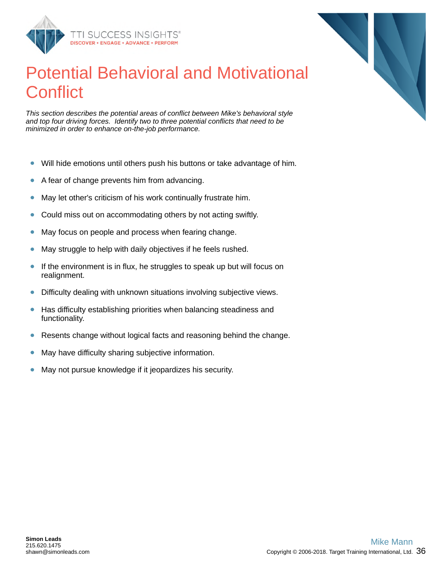

## Potential Behavioral and Motivational **Conflict**

*This section describes the potential areas of conflict between Mike's behavioral style and top four driving forces. Identify two to three potential conflicts that need to be minimized in order to enhance on-the-job performance.*

- Will hide emotions until others push his buttons or take advantage of him.  $\bullet$
- A fear of change prevents him from advancing.  $\bullet$
- May let other's criticism of his work continually frustrate him.  $\bullet$
- Could miss out on accommodating others by not acting swiftly.  $\bullet$
- May focus on people and process when fearing change.  $\bullet$
- May struggle to help with daily objectives if he feels rushed.  $\bullet$
- If the environment is in flux, he struggles to speak up but will focus on  $\bullet$ realignment.
- Difficulty dealing with unknown situations involving subjective views.  $\bullet$
- Has difficulty establishing priorities when balancing steadiness and  $\bullet$ functionality.
- Resents change without logical facts and reasoning behind the change.  $\bullet$
- May have difficulty sharing subjective information.  $\bullet$
- May not pursue knowledge if it jeopardizes his security.  $\bullet$

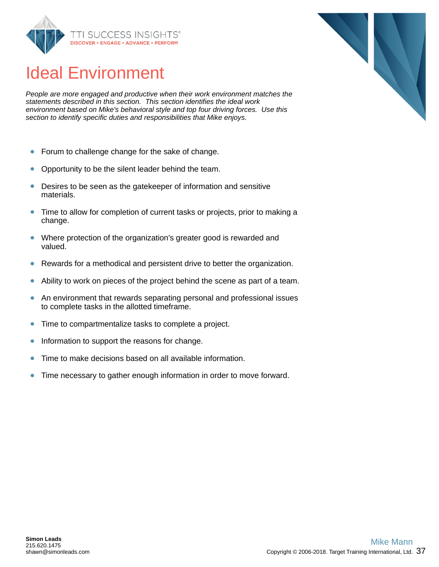

## Ideal Environment

*People are more engaged and productive when their work environment matches the statements described in this section. This section identifies the ideal work environment based on Mike's behavioral style and top four driving forces. Use this section to identify specific duties and responsibilities that Mike enjoys.*

- $\bullet$ Forum to challenge change for the sake of change.
- Opportunity to be the silent leader behind the team.  $\bullet$
- Desires to be seen as the gatekeeper of information and sensitive  $\bullet$ materials.
- Time to allow for completion of current tasks or projects, prior to making a  $\bullet$ change.
- Where protection of the organization's greater good is rewarded and  $\bullet$ valued.
- Rewards for a methodical and persistent drive to better the organization.  $\bullet$
- Ability to work on pieces of the project behind the scene as part of a team.  $\bullet$
- $\bullet$ An environment that rewards separating personal and professional issues to complete tasks in the allotted timeframe.
- Time to compartmentalize tasks to complete a project.  $\bullet$
- $\bullet$ Information to support the reasons for change.
- Time to make decisions based on all available information.  $\bullet$
- $\bullet$ Time necessary to gather enough information in order to move forward.

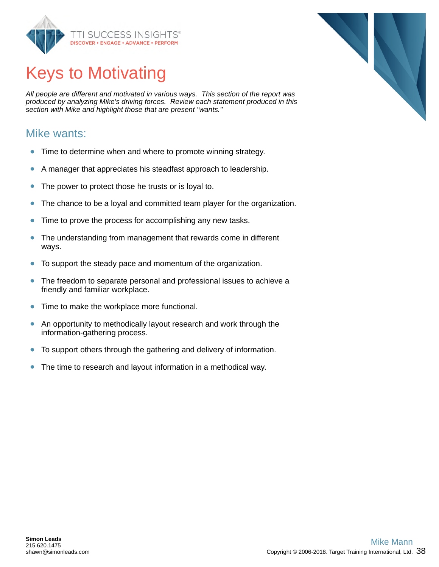

## Keys to Motivating

*All people are different and motivated in various ways. This section of the report was produced by analyzing Mike's driving forces. Review each statement produced in this section with Mike and highlight those that are present "wants."*

#### Mike wants:

- $\bullet$ Time to determine when and where to promote winning strategy.
- A manager that appreciates his steadfast approach to leadership.  $\bullet$
- The power to protect those he trusts or is loyal to.  $\bullet$
- The chance to be a loyal and committed team player for the organization.  $\bullet$
- Time to prove the process for accomplishing any new tasks.  $\bullet$
- $\bullet$ The understanding from management that rewards come in different ways.
- To support the steady pace and momentum of the organization.  $\bullet$
- The freedom to separate personal and professional issues to achieve a  $\bullet$ friendly and familiar workplace.
- $\bullet$ Time to make the workplace more functional.
- An opportunity to methodically layout research and work through the  $\bullet$ information-gathering process.
- $\bullet$ To support others through the gathering and delivery of information.
- $\bullet$ The time to research and layout information in a methodical way.

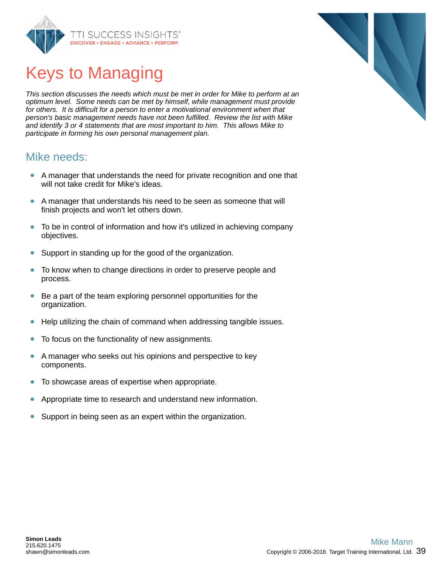

## Keys to Managing

*This section discusses the needs which must be met in order for Mike to perform at an optimum level. Some needs can be met by himself, while management must provide for others. It is difficult for a person to enter a motivational environment when that person's basic management needs have not been fulfilled. Review the list with Mike and identify 3 or 4 statements that are most important to him. This allows Mike to participate in forming his own personal management plan.*

#### Mike needs:

- A manager that understands the need for private recognition and one that will not take credit for Mike's ideas.
- A manager that understands his need to be seen as someone that will finish projects and won't let others down.
- $\bullet$ To be in control of information and how it's utilized in achieving company objectives.
- Support in standing up for the good of the organization.  $\bullet$
- $\bullet$ To know when to change directions in order to preserve people and process.
- $\bullet$ Be a part of the team exploring personnel opportunities for the organization.
- Help utilizing the chain of command when addressing tangible issues.  $\bullet$
- To focus on the functionality of new assignments.  $\bullet$
- $\bullet$ A manager who seeks out his opinions and perspective to key components.
- To showcase areas of expertise when appropriate.  $\bullet$
- Appropriate time to research and understand new information.  $\bullet$
- $\bullet$ Support in being seen as an expert within the organization.

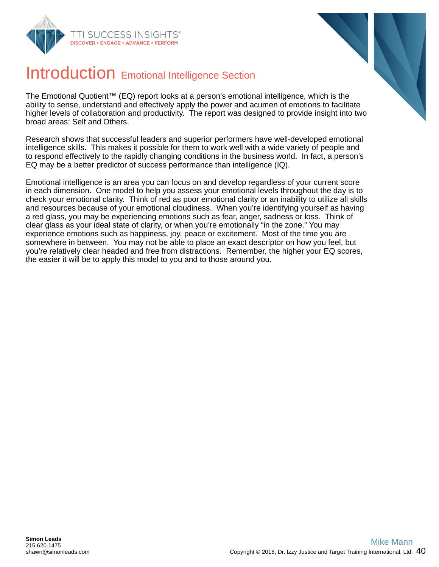



## Introduction Emotional Intelligence Section

The Emotional Quotient™ (EQ) report looks at a person's emotional intelligence, which is the ability to sense, understand and effectively apply the power and acumen of emotions to facilitate higher levels of collaboration and productivity. The report was designed to provide insight into two broad areas: Self and Others.

Research shows that successful leaders and superior performers have well-developed emotional intelligence skills. This makes it possible for them to work well with a wide variety of people and to respond effectively to the rapidly changing conditions in the business world. In fact, a person's EQ may be a better predictor of success performance than intelligence (IQ).

Emotional intelligence is an area you can focus on and develop regardless of your current score in each dimension. One model to help you assess your emotional levels throughout the day is to check your emotional clarity. Think of red as poor emotional clarity or an inability to utilize all skills and resources because of your emotional cloudiness. When you're identifying yourself as having a red glass, you may be experiencing emotions such as fear, anger, sadness or loss. Think of clear glass as your ideal state of clarity, or when you're emotionally "in the zone." You may experience emotions such as happiness, joy, peace or excitement. Most of the time you are somewhere in between. You may not be able to place an exact descriptor on how you feel, but you're relatively clear headed and free from distractions. Remember, the higher your EQ scores, the easier it will be to apply this model to you and to those around you.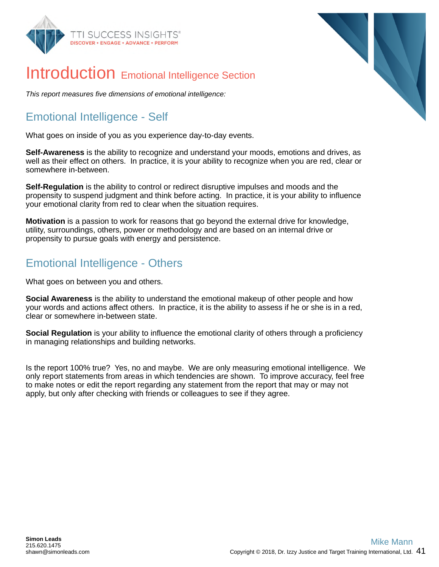



## Introduction Emotional Intelligence Section

*This report measures five dimensions of emotional intelligence:*

## Emotional Intelligence - Self

What goes on inside of you as you experience day-to-day events.

**Self-Awareness** is the ability to recognize and understand your moods, emotions and drives, as well as their effect on others. In practice, it is your ability to recognize when you are red, clear or somewhere in-between.

**Self-Regulation** is the ability to control or redirect disruptive impulses and moods and the propensity to suspend judgment and think before acting. In practice, it is your ability to influence your emotional clarity from red to clear when the situation requires.

**Motivation** is a passion to work for reasons that go beyond the external drive for knowledge, utility, surroundings, others, power or methodology and are based on an internal drive or propensity to pursue goals with energy and persistence.

#### Emotional Intelligence - Others

What goes on between you and others.

**Social Awareness** is the ability to understand the emotional makeup of other people and how your words and actions affect others. In practice, it is the ability to assess if he or she is in a red, clear or somewhere in-between state.

**Social Regulation** is your ability to influence the emotional clarity of others through a proficiency in managing relationships and building networks.

Is the report 100% true? Yes, no and maybe. We are only measuring emotional intelligence. We only report statements from areas in which tendencies are shown. To improve accuracy, feel free to make notes or edit the report regarding any statement from the report that may or may not apply, but only after checking with friends or colleagues to see if they agree.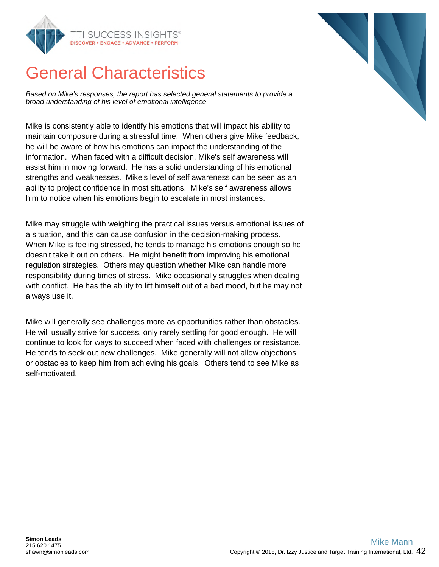

## General Characteristics

*Based on Mike's responses, the report has selected general statements to provide a broad understanding of his level of emotional intelligence.*

Mike is consistently able to identify his emotions that will impact his ability to maintain composure during a stressful time. When others give Mike feedback, he will be aware of how his emotions can impact the understanding of the information. When faced with a difficult decision, Mike's self awareness will assist him in moving forward. He has a solid understanding of his emotional strengths and weaknesses. Mike's level of self awareness can be seen as an ability to project confidence in most situations. Mike's self awareness allows him to notice when his emotions begin to escalate in most instances.

Mike may struggle with weighing the practical issues versus emotional issues of a situation, and this can cause confusion in the decision-making process. When Mike is feeling stressed, he tends to manage his emotions enough so he doesn't take it out on others. He might benefit from improving his emotional regulation strategies. Others may question whether Mike can handle more responsibility during times of stress. Mike occasionally struggles when dealing with conflict. He has the ability to lift himself out of a bad mood, but he may not always use it.

Mike will generally see challenges more as opportunities rather than obstacles. He will usually strive for success, only rarely settling for good enough. He will continue to look for ways to succeed when faced with challenges or resistance. He tends to seek out new challenges. Mike generally will not allow objections or obstacles to keep him from achieving his goals. Others tend to see Mike as self-motivated.

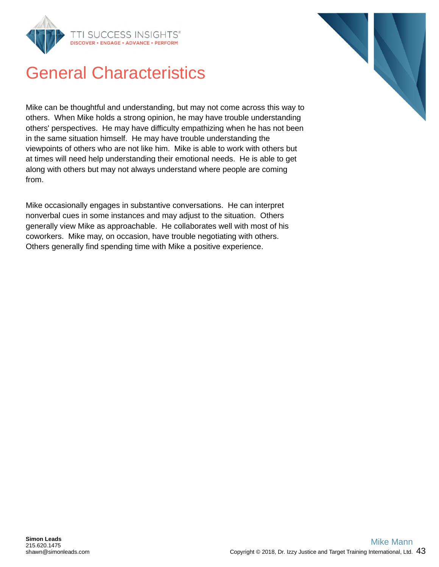

## General Characteristics

Mike can be thoughtful and understanding, but may not come across this way to others. When Mike holds a strong opinion, he may have trouble understanding others' perspectives. He may have difficulty empathizing when he has not been in the same situation himself. He may have trouble understanding the viewpoints of others who are not like him. Mike is able to work with others but at times will need help understanding their emotional needs. He is able to get along with others but may not always understand where people are coming from.

Mike occasionally engages in substantive conversations. He can interpret nonverbal cues in some instances and may adjust to the situation. Others generally view Mike as approachable. He collaborates well with most of his coworkers. Mike may, on occasion, have trouble negotiating with others. Others generally find spending time with Mike a positive experience.

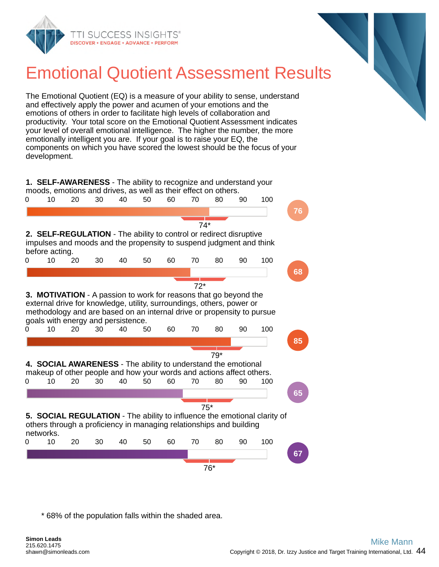

## Emotional Quotient Assessment Results

The Emotional Quotient (EQ) is a measure of your ability to sense, understand and effectively apply the power and acumen of your emotions and the emotions of others in order to facilitate high levels of collaboration and productivity. Your total score on the Emotional Quotient Assessment indicates your level of overall emotional intelligence. The higher the number, the more emotionally intelligent you are. If your goal is to raise your EQ, the components on which you have scored the lowest should be the focus of your development.

**1. SELF-AWARENESS** - The ability to recognize and understand your moods, emotions and drives, as well as their effect on others.



\* 68% of the population falls within the shaded area.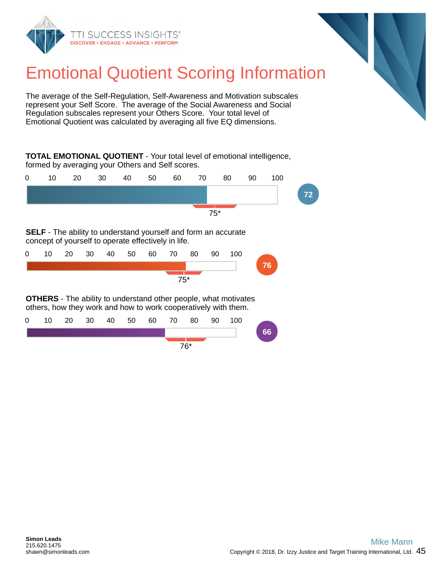



## Emotional Quotient Scoring Information

The average of the Self-Regulation, Self-Awareness and Motivation subscales represent your Self Score. The average of the Social Awareness and Social Regulation subscales represent your Others Score. Your total level of Emotional Quotient was calculated by averaging all five EQ dimensions.

**TOTAL EMOTIONAL QUOTIENT** - Your total level of emotional intelligence, formed by averaging your Others and Self scores.



**SELF** - The ability to understand yourself and form an accurate concept of yourself to operate effectively in life.

| $\mathbf{0}$ |       |  |  |  |  |  | 10  20  30  40  50  60  70  80  90  100 |  |  |    |
|--------------|-------|--|--|--|--|--|-----------------------------------------|--|--|----|
|              |       |  |  |  |  |  |                                         |  |  | 76 |
|              | $75*$ |  |  |  |  |  |                                         |  |  |    |

**OTHERS** - The ability to understand other people, what motivates others, how they work and how to work cooperatively with them.

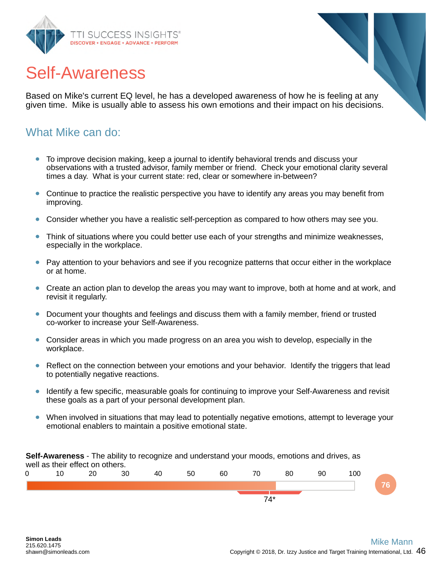

## Self-Awareness

Based on Mike's current EQ level, he has a developed awareness of how he is feeling at any given time. Mike is usually able to assess his own emotions and their impact on his decisions.

#### What Mike can do:

- To improve decision making, keep a journal to identify behavioral trends and discuss your observations with a trusted advisor, family member or friend. Check your emotional clarity several times a day. What is your current state: red, clear or somewhere in-between?
- Continue to practice the realistic perspective you have to identify any areas you may benefit from improving.
- Consider whether you have a realistic self-perception as compared to how others may see you.
- Think of situations where you could better use each of your strengths and minimize weaknesses, especially in the workplace.
- Pay attention to your behaviors and see if you recognize patterns that occur either in the workplace or at home.
- Create an action plan to develop the areas you may want to improve, both at home and at work, and revisit it regularly.
- Document your thoughts and feelings and discuss them with a family member, friend or trusted co-worker to increase your Self-Awareness.
- Consider areas in which you made progress on an area you wish to develop, especially in the workplace.
- Reflect on the connection between your emotions and your behavior. Identify the triggers that lead to potentially negative reactions.
- Identify a few specific, measurable goals for continuing to improve your Self-Awareness and revisit these goals as a part of your personal development plan.
- When involved in situations that may lead to potentially negative emotions, attempt to leverage your emotional enablers to maintain a positive emotional state.

**Self-Awareness** - The ability to recognize and understand your moods, emotions and drives, as well as their effect on others.

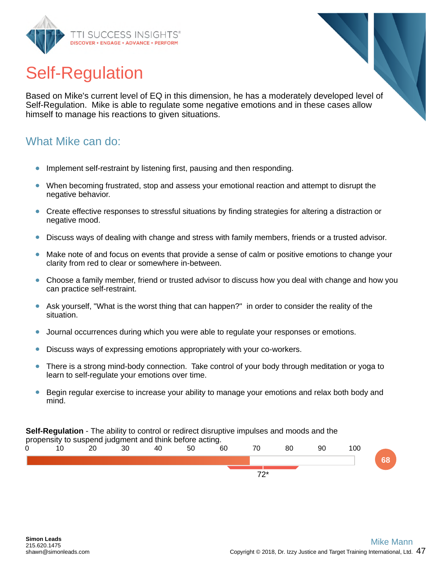

## Self-Regulation

Based on Mike's current level of EQ in this dimension, he has a moderately developed level of Self-Regulation. Mike is able to regulate some negative emotions and in these cases allow himself to manage his reactions to given situations.

#### What Mike can do:

- Implement self-restraint by listening first, pausing and then responding.
- When becoming frustrated, stop and assess your emotional reaction and attempt to disrupt the negative behavior.
- Create effective responses to stressful situations by finding strategies for altering a distraction or negative mood.
- Discuss ways of dealing with change and stress with family members, friends or a trusted advisor.
- Make note of and focus on events that provide a sense of calm or positive emotions to change your clarity from red to clear or somewhere in-between.
- Choose a family member, friend or trusted advisor to discuss how you deal with change and how you can practice self-restraint.
- Ask yourself, "What is the worst thing that can happen?" in order to consider the reality of the situation.
- Journal occurrences during which you were able to regulate your responses or emotions.
- Discuss ways of expressing emotions appropriately with your co-workers.
- There is a strong mind-body connection. Take control of your body through meditation or yoga to learn to self-regulate your emotions over time.
- Begin regular exercise to increase your ability to manage your emotions and relax both body and  $\bullet$ mind.

**Self-Regulation** - The ability to control or redirect disruptive impulses and moods and the propensity to suspend judgment and think before acting.

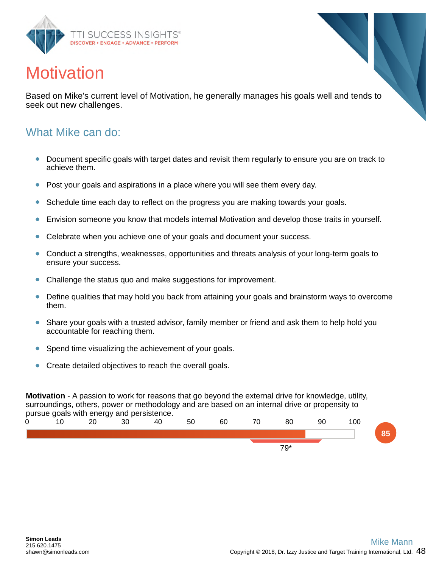

## **Motivation**

Based on Mike's current level of Motivation, he generally manages his goals well and tends to seek out new challenges.

#### What Mike can do:

- Document specific goals with target dates and revisit them regularly to ensure you are on track to  $\bullet$ achieve them.
- Post your goals and aspirations in a place where you will see them every day.
- Schedule time each day to reflect on the progress you are making towards your goals.  $\bullet$
- $\bullet$ Envision someone you know that models internal Motivation and develop those traits in yourself.
- Celebrate when you achieve one of your goals and document your success.
- Conduct a strengths, weaknesses, opportunities and threats analysis of your long-term goals to  $\bullet$ ensure your success.
- Challenge the status quo and make suggestions for improvement.  $\bullet$
- Define qualities that may hold you back from attaining your goals and brainstorm ways to overcome them.
- Share your goals with a trusted advisor, family member or friend and ask them to help hold you accountable for reaching them.
- Spend time visualizing the achievement of your goals.  $\bullet$
- Create detailed objectives to reach the overall goals.

**Motivation** - A passion to work for reasons that go beyond the external drive for knowledge, utility, surroundings, others, power or methodology and are based on an internal drive or propensity to pursue goals with energy and persistence.

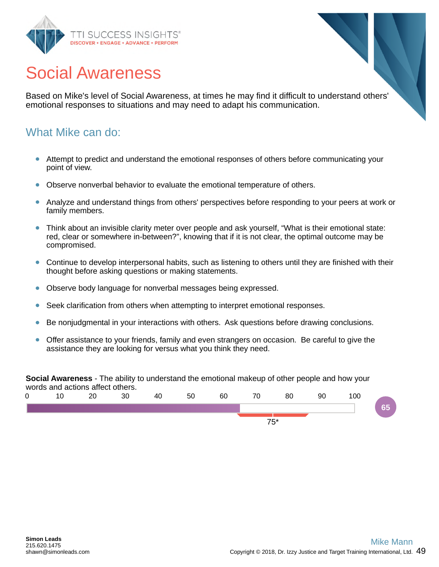

## Social Awareness

Based on Mike's level of Social Awareness, at times he may find it difficult to understand others' emotional responses to situations and may need to adapt his communication.

#### What Mike can do:

- Attempt to predict and understand the emotional responses of others before communicating your point of view.
- Observe nonverbal behavior to evaluate the emotional temperature of others.
- Analyze and understand things from others' perspectives before responding to your peers at work or family members.
- Think about an invisible clarity meter over people and ask yourself, "What is their emotional state:  $\bullet$ red, clear or somewhere in-between?", knowing that if it is not clear, the optimal outcome may be compromised.
- Continue to develop interpersonal habits, such as listening to others until they are finished with their thought before asking questions or making statements.
- Observe body language for nonverbal messages being expressed.  $\bullet$
- Seek clarification from others when attempting to interpret emotional responses.
- Be nonjudgmental in your interactions with others. Ask questions before drawing conclusions.
- $\bullet$ Offer assistance to your friends, family and even strangers on occasion. Be careful to give the assistance they are looking for versus what you think they need.

**Social Awareness** - The ability to understand the emotional makeup of other people and how your words and actions affect others.

| 0 | $\overline{A}$ | 20<br>∠∪ | 30 | 40 | 50 | 60 | 70 | 80 | 90 | 100 |  |
|---|----------------|----------|----|----|----|----|----|----|----|-----|--|
|   |                |          |    |    |    |    |    |    |    |     |  |
|   |                |          |    |    |    |    |    |    |    |     |  |
|   | $75*$          |          |    |    |    |    |    |    |    |     |  |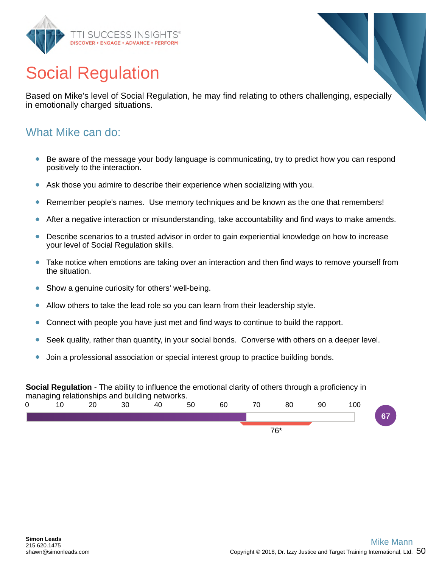

## Social Regulation

Based on Mike's level of Social Regulation, he may find relating to others challenging, especially in emotionally charged situations.

#### What Mike can do:

- Be aware of the message your body language is communicating, try to predict how you can respond positively to the interaction.
- Ask those you admire to describe their experience when socializing with you.
- Remember people's names. Use memory techniques and be known as the one that remembers!  $\bullet$
- After a negative interaction or misunderstanding, take accountability and find ways to make amends.
- Describe scenarios to a trusted advisor in order to gain experiential knowledge on how to increase your level of Social Regulation skills.
- Take notice when emotions are taking over an interaction and then find ways to remove yourself from the situation.
- Show a genuine curiosity for others' well-being.  $\bullet$
- Allow others to take the lead role so you can learn from their leadership style.
- Connect with people you have just met and find ways to continue to build the rapport.
- Seek quality, rather than quantity, in your social bonds. Converse with others on a deeper level.
- Join a professional association or special interest group to practice building bonds.

#### **Social Regulation** - The ability to influence the emotional clarity of others through a proficiency in managing relationships and building networks. 0 10 20 30 40 50 60 70 80 90 100 **67**

76\*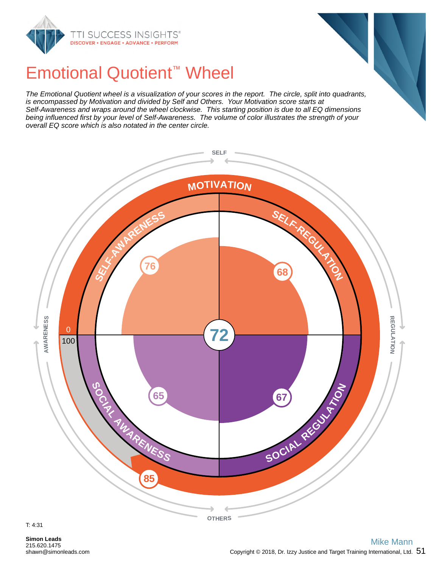



## Emotional Quotient™ Wheel

*The Emotional Quotient wheel is a visualization of your scores in the report. The circle, split into quadrants, is encompassed by Motivation and divided by Self and Others. Your Motivation score starts at Self-Awareness and wraps around the wheel clockwise. This starting position is due to all EQ dimensions being influenced first by your level of Self-Awareness. The volume of color illustrates the strength of your overall EQ score which is also notated in the center circle.*

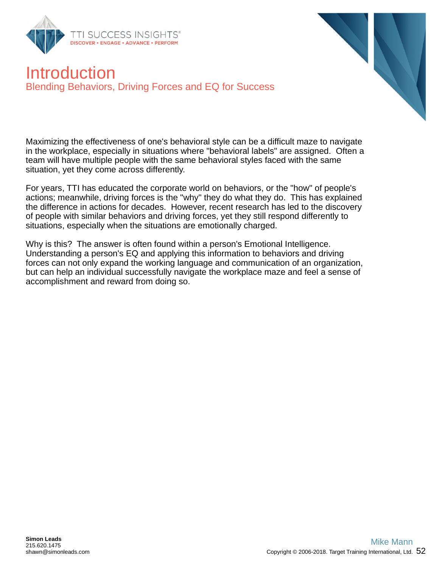



## Introduction Blending Behaviors, Driving Forces and EQ for Success

Maximizing the effectiveness of one's behavioral style can be a difficult maze to navigate in the workplace, especially in situations where "behavioral labels" are assigned. Often a team will have multiple people with the same behavioral styles faced with the same situation, yet they come across differently.

For years, TTI has educated the corporate world on behaviors, or the "how" of people's actions; meanwhile, driving forces is the "why" they do what they do. This has explained the difference in actions for decades. However, recent research has led to the discovery of people with similar behaviors and driving forces, yet they still respond differently to situations, especially when the situations are emotionally charged.

Why is this? The answer is often found within a person's Emotional Intelligence. Understanding a person's EQ and applying this information to behaviors and driving forces can not only expand the working language and communication of an organization, but can help an individual successfully navigate the workplace maze and feel a sense of accomplishment and reward from doing so.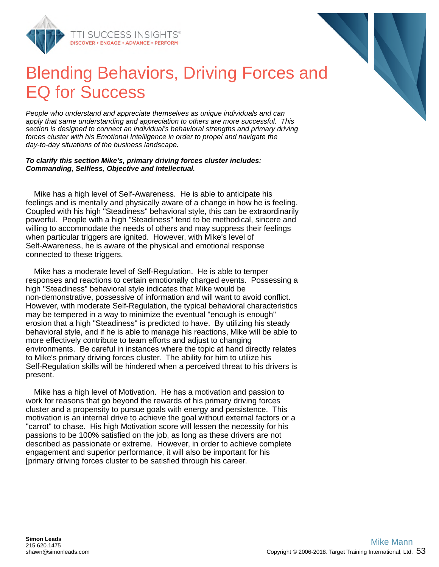

## Blending Behaviors, Driving Forces and EQ for Success

*People who understand and appreciate themselves as unique individuals and can apply that same understanding and appreciation to others are more successful. This section is designed to connect an individual's behavioral strengths and primary driving forces cluster with his Emotional Intelligence in order to propel and navigate the day-to-day situations of the business landscape.*

#### *To clarify this section Mike's, primary driving forces cluster includes: Commanding, Selfless, Objective and Intellectual.*

Mike has a high level of Self-Awareness. He is able to anticipate his feelings and is mentally and physically aware of a change in how he is feeling. Coupled with his high "Steadiness" behavioral style, this can be extraordinarily powerful. People with a high "Steadiness" tend to be methodical, sincere and willing to accommodate the needs of others and may suppress their feelings when particular triggers are ignited. However, with Mike's level of Self-Awareness, he is aware of the physical and emotional response connected to these triggers.

Mike has a moderate level of Self-Regulation. He is able to temper responses and reactions to certain emotionally charged events. Possessing a high "Steadiness" behavioral style indicates that Mike would be non-demonstrative, possessive of information and will want to avoid conflict. However, with moderate Self-Regulation, the typical behavioral characteristics may be tempered in a way to minimize the eventual "enough is enough" erosion that a high "Steadiness" is predicted to have. By utilizing his steady behavioral style, and if he is able to manage his reactions, Mike will be able to more effectively contribute to team efforts and adjust to changing environments. Be careful in instances where the topic at hand directly relates to Mike's primary driving forces cluster. The ability for him to utilize his Self-Regulation skills will be hindered when a perceived threat to his drivers is present.

Mike has a high level of Motivation. He has a motivation and passion to work for reasons that go beyond the rewards of his primary driving forces cluster and a propensity to pursue goals with energy and persistence. This motivation is an internal drive to achieve the goal without external factors or a "carrot" to chase. His high Motivation score will lessen the necessity for his passions to be 100% satisfied on the job, as long as these drivers are not described as passionate or extreme. However, in order to achieve complete engagement and superior performance, it will also be important for his [primary driving forces cluster to be satisfied through his career.